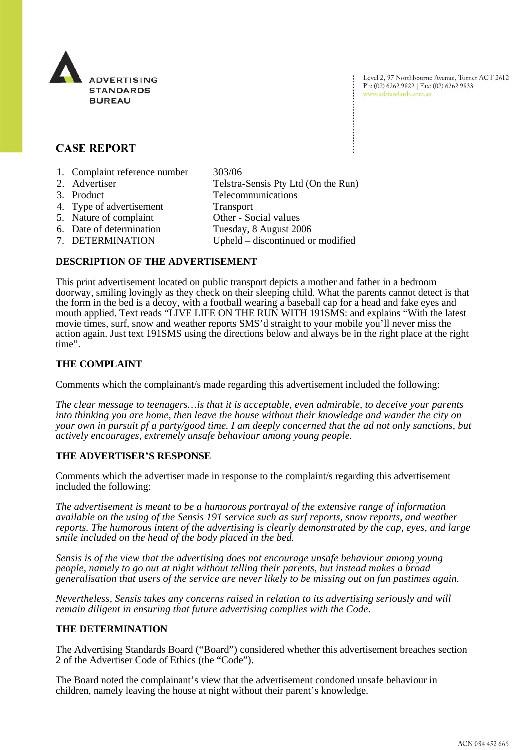

Level 2, 97 Northbourne Avenue, Turner ACT 2612 Ph: (02) 6262 9822 | Fax: (02) 6262 9833 www.adstandards.com.au

# **CASE REPORT**

- 1. Complaint reference number 303/06
- 2. Advertiser Telstra-Sensis Pty Ltd (On the Run)
- 3. Product Telecommunications
- 4. Type of advertisement Transport
- 
- 5. Nature of complaint Other Social values
- 6. Date of determination Tuesday, 8 August 2006
- 
- 
- 7. DETERMINATION Upheld discontinued or modified

### **DESCRIPTION OF THE ADVERTISEMENT**

This print advertisement located on public transport depicts a mother and father in a bedroom doorway, smiling lovingly as they check on their sleeping child. What the parents cannot detect is that the form in the bed is a decoy, with a football wearing a baseball cap for a head and fake eyes and mouth applied. Text reads "LIVE LIFE ON THE RUN WITH 191SMS: and explains "With the latest movie times, surf, snow and weather reports SMS'd straight to your mobile you'll never miss the action again. Just text 191SMS using the directions below and always be in the right place at the right time".

# **THE COMPLAINT**

Comments which the complainant/s made regarding this advertisement included the following:

*The clear message to teenagers…is that it is acceptable, even admirable, to deceive your parents into thinking you are home, then leave the house without their knowledge and wander the city on your own in pursuit pf a party/good time. I am deeply concerned that the ad not only sanctions, but actively encourages, extremely unsafe behaviour among young people.* 

# **THE ADVERTISER'S RESPONSE**

Comments which the advertiser made in response to the complaint/s regarding this advertisement included the following:

*The advertisement is meant to be a humorous portrayal of the extensive range of information available on the using of the Sensis 191 service such as surf reports, snow reports, and weather reports. The humorous intent of the advertising is clearly demonstrated by the cap, eyes, and large smile included on the head of the body placed in the bed.* 

*Sensis is of the view that the advertising does not encourage unsafe behaviour among young people, namely to go out at night without telling their parents, but instead makes a broad generalisation that users of the service are never likely to be missing out on fun pastimes again.* 

*Nevertheless, Sensis takes any concerns raised in relation to its advertising seriously and will remain diligent in ensuring that future advertising complies with the Code.* 

#### **THE DETERMINATION**

The Advertising Standards Board ("Board") considered whether this advertisement breaches section 2 of the Advertiser Code of Ethics (the "Code").

The Board noted the complainant's view that the advertisement condoned unsafe behaviour in children, namely leaving the house at night without their parent's knowledge.